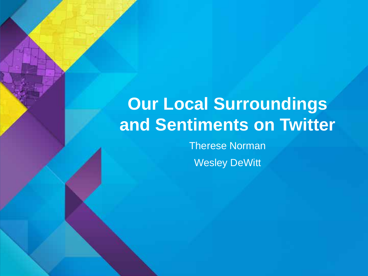# **Our Local Surroundings and Sentiments on Twitter**

Therese Norman Wesley DeWitt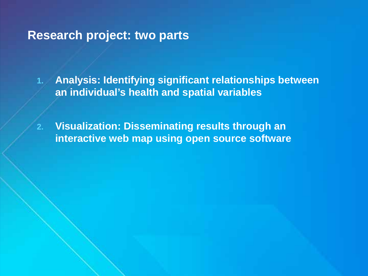## **Research project: two parts**

**1. Analysis: Identifying significant relationships between an individual's health and spatial variables**

**2. Visualization: Disseminating results through an interactive web map using open source software**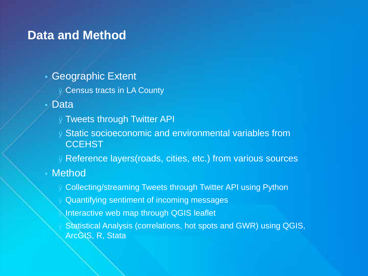## **Data and Method**

- Geographic Extent
	- Ø Census tracts in LA County
- Data
	- ØTweets through Twitter API
	- ØStatic socioeconomic and environmental variables from **CCEHST**
	- ØReference layers(roads, cities, etc.) from various sources
- **Method** 
	- Ø Collecting/streaming Tweets through Twitter API using Python
	- Ø Quantifying sentiment of incoming messages
	- Interactive web map through QGIS leaflet
	- Ø Statistical Analysis (correlations, hot spots and GWR) using QGIS, ArcGIS, R, Stata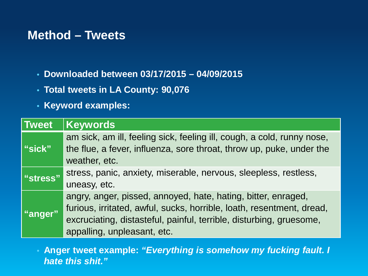## **Method – Tweets**

- **Downloaded between 03/17/2015 – 04/09/2015**
- **Total tweets in LA County: 90,076**
- **Keyword examples:**

| <b>Tweet</b>   | <b>Keywords</b>                                                                                                                                                                                                                              |
|----------------|----------------------------------------------------------------------------------------------------------------------------------------------------------------------------------------------------------------------------------------------|
| <u>i"sick"</u> | am sick, am ill, feeling sick, feeling ill, cough, a cold, runny nose,<br>the flue, a fever, influenza, sore throat, throw up, puke, under the<br>weather, etc.                                                                              |
| "stress"       | stress, panic, anxiety, miserable, nervous, sleepless, restless,<br>uneasy, etc.                                                                                                                                                             |
| "anger"        | angry, anger, pissed, annoyed, hate, hating, bitter, enraged,<br>furious, irritated, awful, sucks, horrible, loath, resentment, dread,<br>excruciating, distasteful, painful, terrible, disturbing, gruesome,<br>appalling, unpleasant, etc. |

• **Anger tweet example:** *"Everything is somehow my fucking fault. I hate this shit."*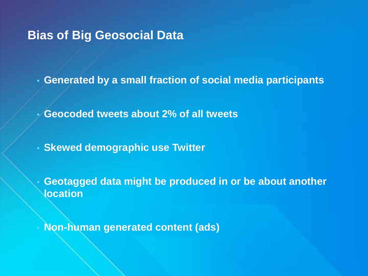## **Bias of Big Geosocial Data**

• **Generated by a small fraction of social media participants**

• **Geocoded tweets about 2% of all tweets**

• **Skewed demographic use Twitter**

• **Geotagged data might be produced in or be about another location**

• **Non-human generated content (ads)**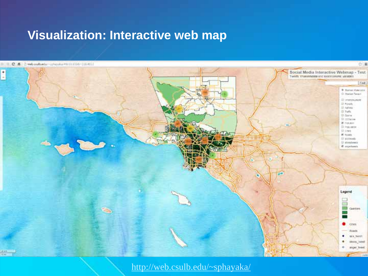## **Visualization: Interactive web map**

#### C 6 Swebculbedu - chawka WATERMAN (1990)



[http://web.csulb.edu/~sphayaka/](http://web.csulb.edu/%7Esphayaka/)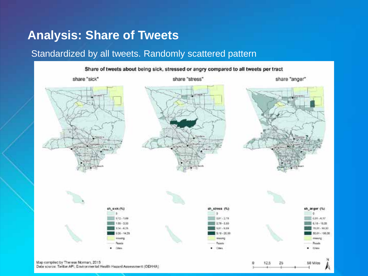## **Analysis: Share of Tweets**

#### Standardized by all tweets. Randomly scattered pattern

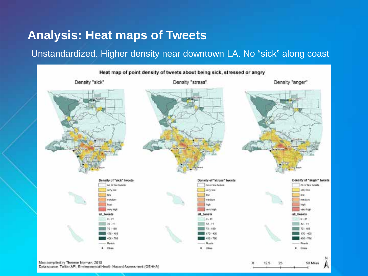## **Analysis: Heat maps of Tweets**

#### Unstandardized. Higher density near downtown LA. No "sick" along coast



Data source: Taritter API; Environmental Health Hazard Assessment (OEHHA)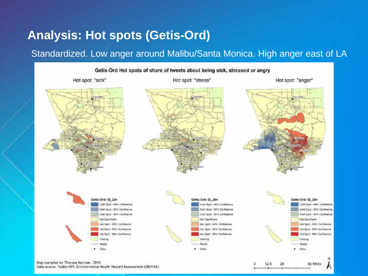## **Analysis: Hot spots (Getis-Ord)**

### Standardized. Low anger around Malibu/Santa Monica. High anger east of LA

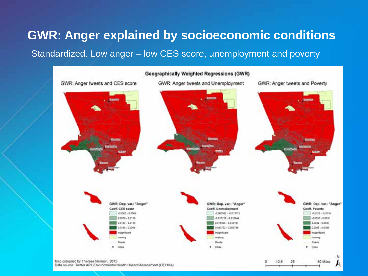## **GWR: Anger explained by socioeconomic conditions** Standardized. Low anger – low CES score, unemployment and poverty